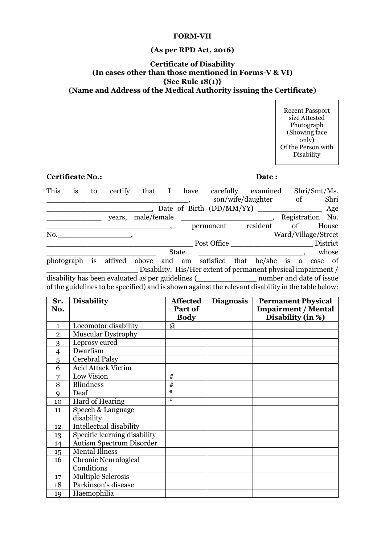#### **FORM-VII**

# **(As per RPD Act, 2016)**

## **Certificate of Disability (In cases other than those mentioned in Forms-V & VI) {See Rule 18(1)} (Name and Address of the Medical Authority issuing the Certificate)**

Recent Passport size Attested Photograph (Showing face only) Of the Person with Disability

## **Certificate No.: Date :**

| This       | is | to | certify                                                                                                    | that        | I | have                     | carefully   | examined                                                      |    |    | Shri/Smt/Ms.        |
|------------|----|----|------------------------------------------------------------------------------------------------------------|-------------|---|--------------------------|-------------|---------------------------------------------------------------|----|----|---------------------|
|            |    |    |                                                                                                            |             |   |                          |             | son/wife/daughter                                             |    | οf | Shri                |
|            |    |    |                                                                                                            |             |   | Date of Birth (DD/MM/YY) |             |                                                               |    |    | Age                 |
|            |    |    | vears.                                                                                                     | male/female |   |                          |             |                                                               |    |    | Registration No.    |
|            |    |    |                                                                                                            |             |   |                          | permanent   | resident                                                      | of |    | House               |
| No.        |    |    |                                                                                                            |             |   |                          |             |                                                               |    |    | Ward/Village/Street |
|            |    |    |                                                                                                            |             |   |                          | Post Office |                                                               |    |    | District            |
|            |    |    |                                                                                                            |             |   | <b>State</b>             |             |                                                               |    |    | whose               |
| photograph |    | is | affixed above and am satisfied that he/she is a case of                                                    |             |   |                          |             |                                                               |    |    |                     |
|            |    |    |                                                                                                            |             |   |                          |             | Disability. His/Her extent of permanent physical impairment / |    |    |                     |
|            |    |    | disability has been evaluated as per guidelines ( <u>Letter and date</u> of issue number and date of issue |             |   |                          |             |                                                               |    |    |                     |
|            |    |    | of the guidelines to be specified) and is shown against the relevant disability in the table below:        |             |   |                          |             |                                                               |    |    |                     |

| Sr.            | <b>Disability</b>               | <b>Affected</b> | <b>Diagnosis</b> | <b>Permanent Physical</b>  |
|----------------|---------------------------------|-----------------|------------------|----------------------------|
| No.            |                                 | Part of         |                  | <b>Impairment / Mental</b> |
|                |                                 | <b>Body</b>     |                  | Disability (in %)          |
| $\mathbf{1}$   | Locomotor disability            | @               |                  |                            |
| $\overline{2}$ | <b>Muscular Dystrophy</b>       |                 |                  |                            |
| 3              | Leprosy cured                   |                 |                  |                            |
| $\overline{4}$ | Dwarfism                        |                 |                  |                            |
| 5              | Cerebral Palsy                  |                 |                  |                            |
| 6              | <b>Acid Attack Victim</b>       |                 |                  |                            |
| 7              | Low Vision                      | #               |                  |                            |
| 8              | <b>Blindness</b>                | #               |                  |                            |
| 9              | Deaf                            | ⋇               |                  |                            |
| 10             | Hard of Hearing                 | ⋇               |                  |                            |
| 11             | Speech & Language               |                 |                  |                            |
|                | disability                      |                 |                  |                            |
| 12             | <b>Intellectual disability</b>  |                 |                  |                            |
| 13             | Specific learning disability    |                 |                  |                            |
| 14             | <b>Autism Spectrum Disorder</b> |                 |                  |                            |
| $15\,$         | <b>Mental Illness</b>           |                 |                  |                            |
| 16             | <b>Chronic Neurological</b>     |                 |                  |                            |
|                | Conditions                      |                 |                  |                            |
| 17             | <b>Multiple Sclerosis</b>       |                 |                  |                            |
| 18             | Parkinson's disease             |                 |                  |                            |
| 19             | Haemophilia                     |                 |                  |                            |